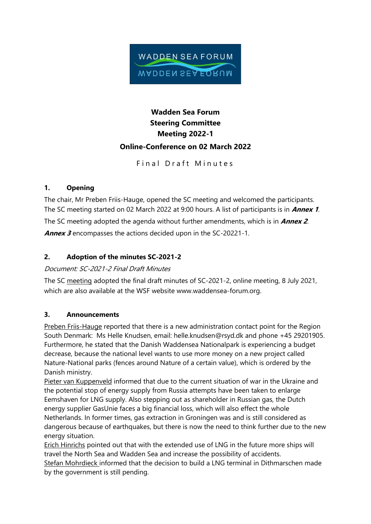

# **Wadden Sea Forum Steering Committee Meeting 2022-1 Online-Conference on 02 March 2022**

Final Draft Minutes

## **1. Opening**

The chair, Mr Preben Friis-Hauge, opened the SC meeting and welcomed the participants. The SC meeting started on 02 March 2022 at 9:00 hours. A list of participants is in **Annex 1**. The SC meeting adopted the agenda without further amendments, which is in **Annex 2**.

**Annex 3** encompasses the actions decided upon in the SC-20221-1.

## **2. Adoption of the minutes SC-2021-2**

#### Document: SC-2021-2 Final Draft Minutes

The SC meeting adopted the final draft minutes of SC-2021-2, online meeting, 8 July 2021, which are also available at the WSF website www.waddensea-forum.org.

#### **3. Announcements**

Preben Friis-Hauge reported that there is a new administration contact point for the Region South Denmark: Ms Helle Knudsen, email: helle.knudsen@rsyd.dk and phone +45 29201905. Furthermore, he stated that the Danish Waddensea Nationalpark is experiencing a budget decrease, because the national level wants to use more money on a new project called Nature-National parks (fences around Nature of a certain value), which is ordered by the Danish ministry.

Pieter van Kuppenveld informed that due to the current situation of war in the Ukraine and the potential stop of energy supply from Russia attempts have been taken to enlarge Eemshaven for LNG supply. Also stepping out as shareholder in Russian gas, the Dutch energy supplier GasUnie faces a big financial loss, which will also effect the whole Netherlands. In former times, gas extraction in Groningen was and is still considered as dangerous because of earthquakes, but there is now the need to think further due to the new energy situation.

Erich Hinrichs pointed out that with the extended use of LNG in the future more ships will travel the North Sea and Wadden Sea and increase the possibility of accidents.

Stefan Mohrdieck informed that the decision to build a LNG terminal in Dithmarschen made by the government is still pending.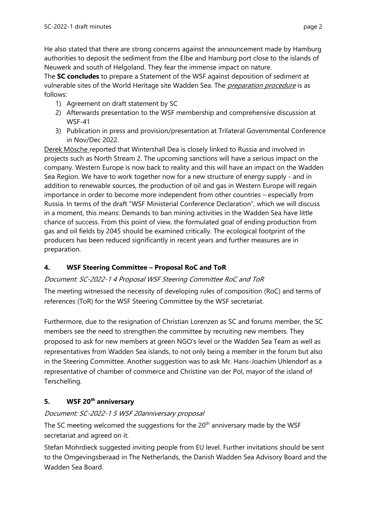He also stated that there are strong concerns against the announcement made by Hamburg authorities to deposit the sediment from the Elbe and Hamburg port close to the islands of Neuwerk and south of Helgoland. They fear the immense impact on nature.

The **SC concludes** to prepare a Statement of the WSF against deposition of sediment at vulnerable sites of the World Heritage site Wadden Sea. The *preparation procedure* is as follows:

- 1) Agreement on draft statement by SC
- 2) Afterwards presentation to the WSF membership and comprehensive discussion at WSF-41
- 3) Publication in press and provision/presentation at Trilateral Governmental Conference in Nov/Dec 2022.

Derek Mösche reported that Wintershall Dea is closely linked to Russia and involved in projects such as North Stream 2. The upcoming sanctions will have a serious impact on the company. Western Europe is now back to reality and this will have an impact on the Wadden Sea Region. We have to work together now for a new structure of energy supply - and in addition to renewable sources, the production of oil and gas in Western Europe will regain importance in order to become more independent from other countries – especially from Russia. In terms of the draft "WSF Ministerial Conference Declaration", which we will discuss in a moment, this means: Demands to ban mining activities in the Wadden Sea have little chance of success. From this point of view, the formulated goal of ending production from gas and oil fields by 2045 should be examined critically. The ecological footprint of the producers has been reduced significantly in recent years and further measures are in preparation.

## **4. WSF Steering Committee – Proposal RoC and ToR**

## Document: SC-2022-1 4 Proposal WSF Steering Committee RoC and ToR

The meeting witnessed the necessity of developing rules of composition (RoC) and terms of references (ToR) for the WSF Steering Committee by the WSF secretariat.

Furthermore, due to the resignation of Christian Lorenzen as SC and forums member, the SC members see the need to strengthen the committee by recruiting new members. They proposed to ask for new members at green NGO's level or the Wadden Sea Team as well as representatives from Wadden Sea islands, to not only being a member in the forum but also in the Steering Committee. Another suggestion was to ask Mr. Hans-Joachim Uhlendorf as a representative of chamber of commerce and Christine van der Pol, mayor of the island of Terschelling.

## **5. WSF 20th anniversary**

## Document: SC-2022-1 5 WSF 20anniversary proposal

The SC meeting welcomed the suggestions for the  $20<sup>th</sup>$  anniversary made by the WSF secretariat and agreed on it.

Stefan Mohrdieck suggested inviting people from EU level. Further invitations should be sent to the Omgevingsberaad in The Netherlands, the Danish Wadden Sea Advisory Board and the Wadden Sea Board.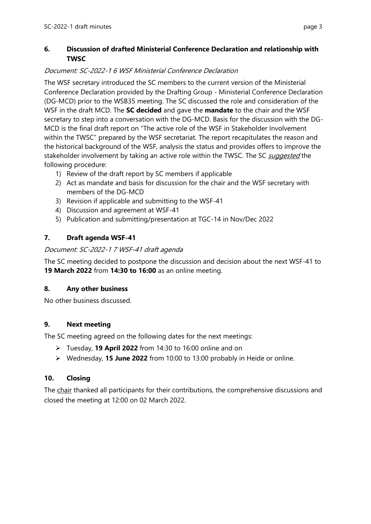### **6. Discussion of drafted Ministerial Conference Declaration and relationship with TWSC**

#### Document: SC-2022-1 6 WSF Ministerial Conference Declaration

The WSF secretary introduced the SC members to the current version of the Ministerial Conference Declaration provided by the Drafting Group - Ministerial Conference Declaration (DG-MCD) prior to the WSB35 meeting. The SC discussed the role and consideration of the WSF in the draft MCD. The **SC decided** and gave the **mandate** to the chair and the WSF secretary to step into a conversation with the DG-MCD. Basis for the discussion with the DG-MCD is the final draft report on "The active role of the WSF in Stakeholder Involvement within the TWSC" prepared by the WSF secretariat. The report recapitulates the reason and the historical background of the WSF, analysis the status and provides offers to improve the stakeholder involvement by taking an active role within the TWSC. The SC *suggested* the following procedure:

- 1) Review of the draft report by SC members if applicable
- 2) Act as mandate and basis for discussion for the chair and the WSF secretary with members of the DG-MCD
- 3) Revision if applicable and submitting to the WSF-41
- 4) Discussion and agreement at WSF-41
- 5) Publication and submitting/presentation at TGC-14 in Nov/Dec 2022

#### **7. Draft agenda WSF-41**

#### Document: SC-2022-1 7 WSF-41 draft agenda

The SC meeting decided to postpone the discussion and decision about the next WSF-41 to **19 March 2022** from **14:30 to 16:00** as an online meeting.

#### **8. Any other business**

No other business discussed.

#### **9. Next meeting**

The SC meeting agreed on the following dates for the next meetings:

- Tuesday, **19 April 2022** from 14:30 to 16:00 online and on
- Wednesday, **15 June 2022** from 10:00 to 13:00 probably in Heide or online.

#### **10. Closing**

The chair thanked all participants for their contributions, the comprehensive discussions and closed the meeting at 12:00 on 02 March 2022.